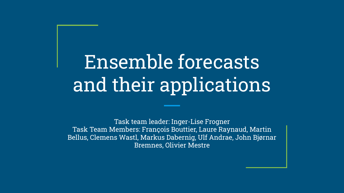# Ensemble forecasts and their applications

Task team leader: Inger-Lise Frogner Task Team Members: François Bouttier, Laure Raynaud, Martin Bellus, Clemens Wastl, Markus Dabernig, Ulf Andrae, John Bjørnar Bremnes, Olivier Mestre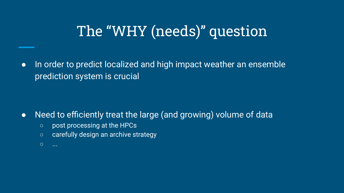### The "WHY (needs)" question

● In order to predict localized and high impact weather an ensemble prediction system is crucial

- Need to efficiently treat the large (and growing) volume of data
	- post processing at the HPCs
	- carefully design an archive strategy
	- ...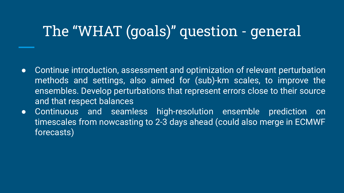### The "WHAT (goals)" question - general

- Continue introduction, assessment and optimization of relevant perturbation methods and settings, also aimed for (sub)-km scales, to improve the ensembles. Develop perturbations that represent errors close to their source and that respect balances
- Continuous and seamless high-resolution ensemble prediction on timescales from nowcasting to 2-3 days ahead (could also merge in ECMWF forecasts)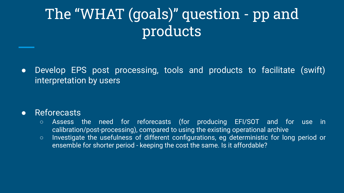### The "WHAT (goals)" question - pp and products

• Develop EPS post processing, tools and products to facilitate (swift) interpretation by users

#### ● Reforecasts

- Assess the need for reforecasts (for producing EFI/SOT and for use in calibration/post-processing), compared to using the existing operational archive
- Investigate the usefulness of different configurations, eg deterministic for long period or ensemble for shorter period - keeping the cost the same. Is it affordable?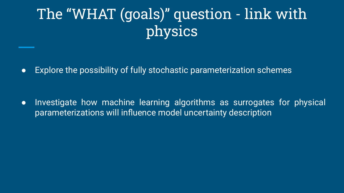## The "WHAT (goals)" question - link with physics

● Explore the possibility of fully stochastic parameterization schemes

● Investigate how machine learning algorithms as surrogates for physical parameterizations will influence model uncertainty description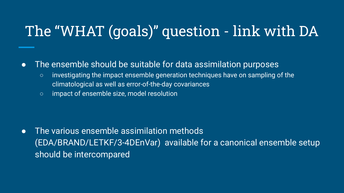### The "WHAT (goals)" question - link with DA

#### ● The ensemble should be suitable for data assimilation purposes

- investigating the impact ensemble generation techniques have on sampling of the climatological as well as error-of-the-day covariances
- impact of ensemble size, model resolution

● The various ensemble assimilation methods (EDA/BRAND/LETKF/3-4DEnVar) available for a canonical ensemble setup should be intercompared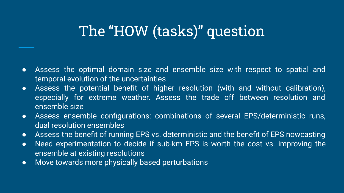### The "HOW (tasks)" question

- Assess the optimal domain size and ensemble size with respect to spatial and temporal evolution of the uncertainties
- Assess the potential benefit of higher resolution (with and without calibration), especially for extreme weather. Assess the trade off between resolution and ensemble size
- Assess ensemble configurations: combinations of several EPS/deterministic runs, dual resolution ensembles
- Assess the benefit of running EPS vs. deterministic and the benefit of EPS nowcasting
- Need experimentation to decide if sub-km EPS is worth the cost vs. improving the ensemble at existing resolutions
- Move towards more physically based perturbations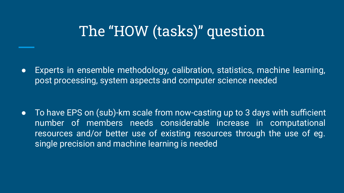### The "HOW (tasks)" question

● Experts in ensemble methodology, calibration, statistics, machine learning, post processing, system aspects and computer science needed

• To have EPS on (sub)-km scale from now-casting up to 3 days with sufficient number of members needs considerable increase in computational resources and/or better use of existing resources through the use of eg. single precision and machine learning is needed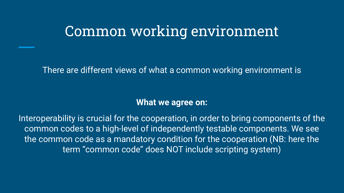There are different views of what a common working environment is

#### **What we agree on:**

Interoperability is crucial for the cooperation, in order to bring components of the common codes to a high-level of independently testable components. We see the common code as a mandatory condition for the cooperation (NB: here the term "common code" does NOT include scripting system)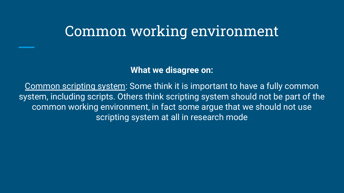**What we disagree on:**

Common scripting system: Some think it is important to have a fully common system, including scripts. Others think scripting system should not be part of the common working environment, in fact some argue that we should not use scripting system at all in research mode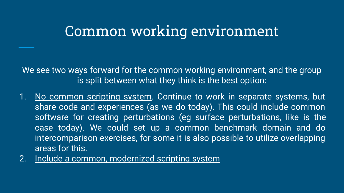We see two ways forward for the common working environment, and the group is split between what they think is the best option:

- 1. No common scripting system. Continue to work in separate systems, but share code and experiences (as we do today). This could include common software for creating perturbations (eg surface perturbations, like is the case today). We could set up a common benchmark domain and do intercomparison exercises, for some it is also possible to utilize overlapping areas for this.
- 2. Include a common, modernized scripting system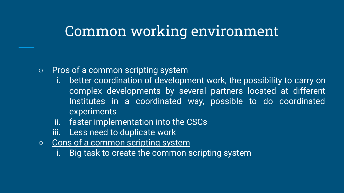#### ○ Pros of a common scripting system

- i. better coordination of development work, the possibility to carry on complex developments by several partners located at different Institutes in a coordinated way, possible to do coordinated experiments
- ii. faster implementation into the CSCs
- iii. Less need to duplicate work
- Cons of a common scripting system
	- i. Big task to create the common scripting system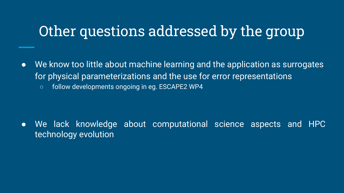### Other questions addressed by the group

- We know too little about machine learning and the application as surrogates for physical parameterizations and the use for error representations
	- follow developments ongoing in eg. ESCAPE2 WP4

● We lack knowledge about computational science aspects and HPC technology evolution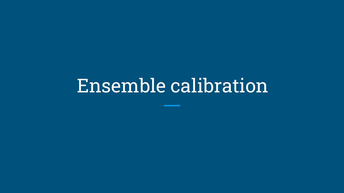# Ensemble calibration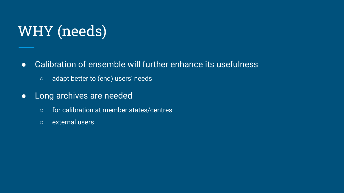# WHY (needs)

- **•** Calibration of ensemble will further enhance its usefulness
	- adapt better to (end) users' needs
- Long archives are needed
	- for calibration at member states/centres
	- external users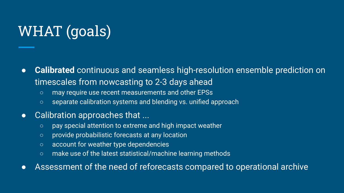# WHAT (goals)

- *●* **Calibrated** continuous and seamless high-resolution ensemble prediction on timescales from nowcasting to 2-3 days ahead
	- may require use recent measurements and other EPSs
	- separate calibration systems and blending vs. unified approach
- Calibration approaches that ...
	- pay special attention to extreme and high impact weather
	- provide probabilistic forecasts at any location
	- account for weather type dependencies
	- make use of the latest statistical/machine learning methods
- Assessment of the need of reforecasts compared to operational archive